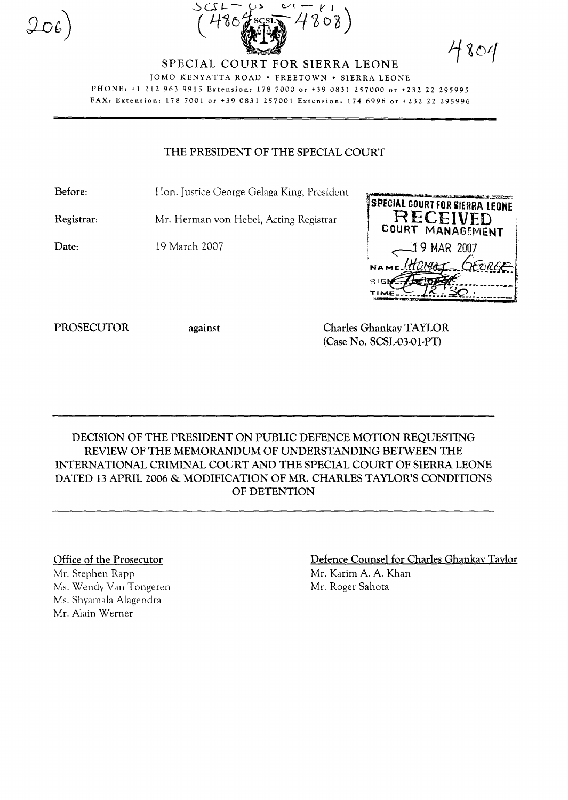



4804

JOMO KENYATTA ROAD • FREETOWN • SIERRA LEONE PHONE: +1 212 963 9915 Extension: 1787000 or +39 0831257000 or +232 22 295995 FAX: Extension: 1787001 or +39 0831257001 Extension: 1746996 or +232 22 295996

## THE PRESIDENT OF THE SPECIAL COURT

Before: Hon. Justice George Gelaga King, President

Registrar: Mr. Herman von Hebel, Acting Registrar

Date: 19 March 2007



PROSECUTOR against Charles Ghankay TAYLOR (Case No. SCSL03-01-PT)

DECISION OF THE PRESIDENT ON PUBLIC DEFENCE MOTION REQUESTING REVIEW OF THE MEMORANDUM OF UNDERSTANDING BETWEEN THE INTERNATIONAL CRIMINAL COURT AND THE SPECIAL COURT OF SIERRA LEONE DATED 13 APRIL 2006 & MODIFICATION OF MR. CHARLES TAYLOR'S CONDITIONS OF DETENTION

## Office of the Prosecutor

Mr. Stephen Rapp Ms. Wendy Van Tongeren Ms. Shyamala Alagendra Mr. Alain Werner

## Defence Counsel for Charles Ghankay Taylor

Mr. Karim A. A. Khan Mr. Roger Sahota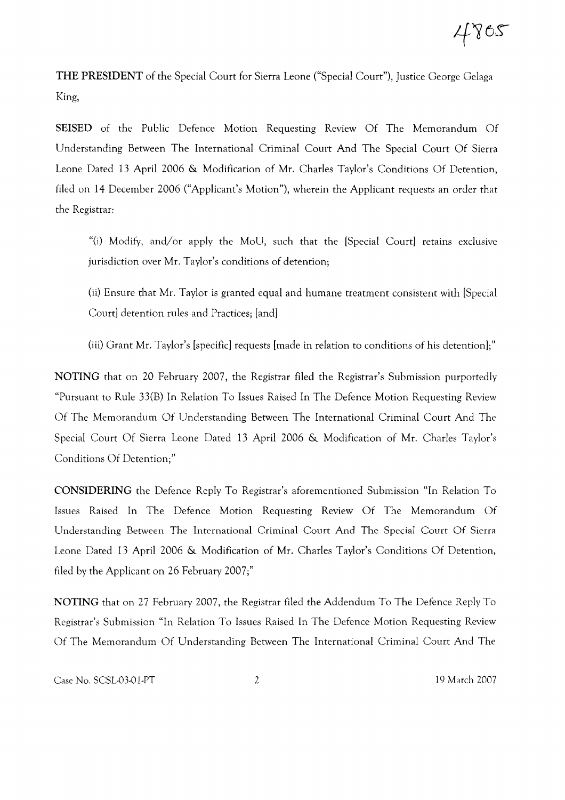4805

THE PRESIDENT of the Special Court for Sierra Leone ("Special Court"), Justice George Gelaga King,

SEISED of the Public Defence Motion Requesting Review Of The Memorandum Of Understanding Between The International Criminal Court And The Special Court Of Sierra Leone Dated 13 April 2006 & Modification of Mr. Charles Taylor's Conditions Of Detention, filed on 14 December 2006 ("Applicant's Motion"), wherein the Applicant requests an order that the Registrar:

"0) Modify, and/or apply the MoU, such that the [Special Court] retains exclusive jurisdiction over Mr. Taylor's conditions of detention;

(ii) Ensure that Mr. Taylor is granted equal and humane treatment consistent with [Special Court] detention rules and Practices; [and]

(iii) Grant Mr. Taylor's [specific] requests [made in relation to conditions of his detention];"

NOTING that on 20 February 2007, the Registrar filed the Registrar's Submission purportedly "Pursuant to Rule 33(B) In Relation To Issues Raised In The Defence Motion Requesting Review Of The Memorandum Of Understanding Between The International Criminal Court And The Special Court Of Sierra Leone Dated 13 April 2006 & Modification of Mr. Charles Taylor's Conditions Of Detention;"

CONSIDERING the Defence Reply To Registrar's aforementioned Submission "In Relation To Issues Raised In The Defence Motion Requesting Review Of The Memorandum Of Understanding Between The International Criminal Court And The Special Court Of Sierra Leone Dated 13 April 2006 & Modification of Mr. Charles Taylor's Conditions Of Detention, filed by the Applicant on 26 February 2007;"

NOTING that on 27 February 2007, the Registrar filed the Addendum To The Defence Reply To Registrar's Submission "In Relation To Issues Raised In The Defence Motion Requesting Review Of The Memorandum Of Understanding Between The International Criminal Court And The

Case No. SCSL-03-01-PT 2 19 March 2007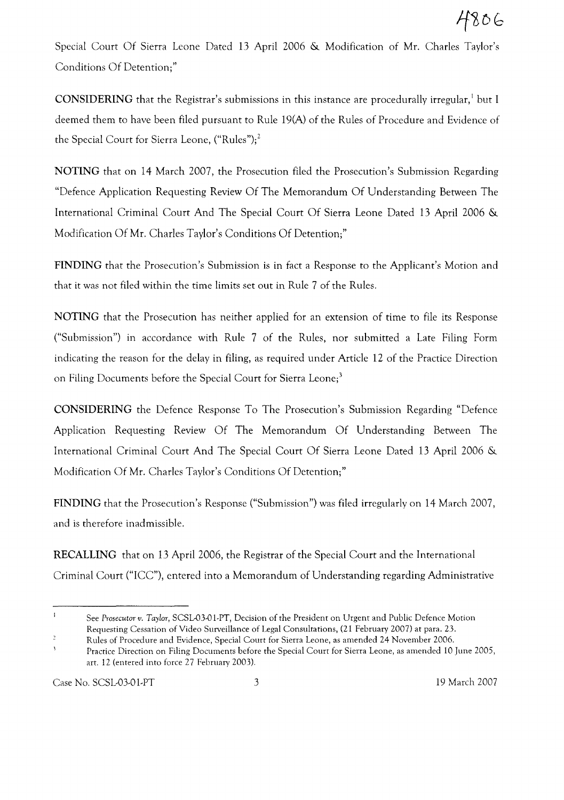Special Court Of Sierra Leone Dated 13 April 2006 & Modification of Mr. Charles Taylor's Conditions Of Detention;"

**CONSIDERING** that the Registrar's submissions in this instance are procedurally irregular,<sup>1</sup> but I deemed them to have been filed pursuant to Rule 19(A) of the Rules of Procedure and Evidence of the Special Court for Sierra Leone, ("Rules");<sup>2</sup>

**NOTING** that on **14** March 2007, the Prosecution filed the Prosecution's Submission Regarding "Defence Application Requesting Review Of The Memorandum Of Understanding Between The International Criminal Court And The Special Court Of Sierra Leone Dated 13 April 2006 & Modification Of Mr. Charles Taylor's Conditions Of Detention;"

**FINDING** that the Prosecution's Submission is in fact a Response to the Applicant's Motion and that it was not filed within the time limits set out in Rule 7 of the Rules.

**NOTING** that the Prosecution has neither applied for an extension of time to file its Response ("Submission") in accordance with Rule 7 of the Rules, nor submitted a Late Filing Form indicating the reason for the delay in filing, as required under Article 12 of the Practice Direction on Filing Documents before the Special Court for Sierra Leone;<sup>3</sup>

**CONSIDERING** the Defence Response To The Prosecution's Submission Regarding "Defence Application Requesting Review Of The Memorandum Of Understanding Between The International Criminal Court And The Special Court Of Sierra Leone Dated 13 April 2006 & Modification Of Mr. Charles Taylor's Conditions Of Detention;"

**FINDING** that the Prosecution's Response ("Submission") was filed irregularly on **14** March 2007, and is therefore inadmissible.

**RECALLING** that on 13 April 2006, the Registrar of the Special Court and the International Criminal Court ("ICC"), entered into a Memorandum of Understanding regarding Administrative

Case No. SCSL-03-01-PT 3 19 March 2007

 $\mathbf{f}$ See *Prosecutor v. Taylor,* SCSL-03-01-PT, Decision of the President on Urgent and Public Defence Motion Requesting Cessation of Video Surveillance of Legal Consultations, (21 February 2007) at para. 23.

 $\overline{2}$ Rules of Procedure and Evidence, Special Court for Sierra Leone, as amended 24 November 2006.

Practice Direction on Filing Documents before the Special Court for Sierra Leone, as amended 10 June 2005, art. 12 (entered into force 27 February 2003).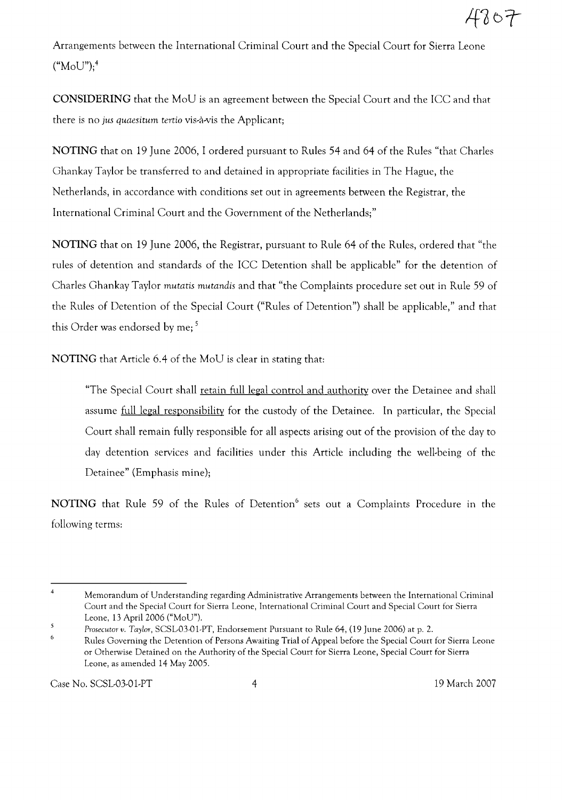Arrangements between the International Criminal Court and the Special Court for Sierra Leone  $("MoU")$ ;<sup>4</sup>

CONSIDERING that the MoU is an agreement between the Special Court and the ICC and that there is no *jus quaesitum tertio* vis-à-vis the Applicant;

NOTING that on 19 June 2006, I ordered pursuant to Rules 54 and 64 of the Rules "that Charles Ghankay Taylor be transferred to and detained in appropriate facilities in The Hague, the Netherlands, in accordance with conditions set out in agreements between the Registrar, the International Criminal Court and the Government of the Netherlands;"

NOTING that on 19 June 2006, the Registrar, pursuant to Rule 64 of the Rules, ordered that "the rules of detention and standards of the ICC Detention shall be applicable" for the detention of Charles Ghankay Taylor *mutatis mutandis* and that "the Complaints procedure set out in Rule 59 of the Rules of Detention of the Special Court ("Rules of Detention") shall be applicable," and that this Order was endorsed by me;<sup>5</sup>

NOTING that Article 6.4 of the MoU is clear in stating that:

"The Special Court shall retain full legal control and authority over the Detainee and shall assume full legal responsibility for the custody of the Detainee. In particular, the Special Court shall remain fully responsible for all aspects arising out of the provision of the day to day detention services and facilities under this Article including the well-being of the Detainee" (Emphasis mine);

NOTING that Rule 59 of the Rules of Detention<sup>6</sup> sets out a Complaints Procedure in the following terms:

<sup>&</sup>lt;sup>4</sup> Memorandum of Understanding regarding Administrative Arrangements between the International Criminal Court and the Special Court for Sierra Leone, International Criminal Court and Special Court for Sierra Leone, 13 April 2006 ("MoU").

<sup>5</sup> *Prosecutor v. Taylor,* SCSL-03-OI-PT, Endorsement Pursuant to Rule 64, (19 June 2006) at p. 2.

 $\boldsymbol{6}$ Rules Governing the Detention of Persons Awaiting Trial of Appeal before the Special Court for Sierra Leone or Otherwise Detained on the Authority of the Special Court for Sierra Leone, Special Court for Sierra Leone, as amended 14 May 2005.